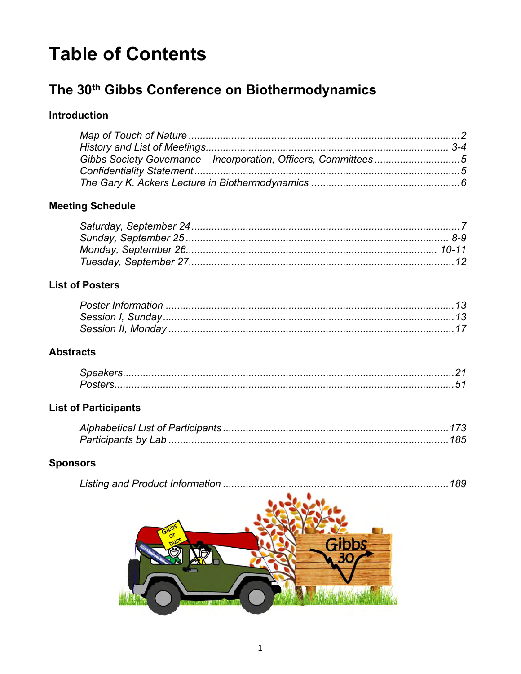# **Table of Contents**

# The 30<sup>th</sup> Gibbs Conference on Biothermodynamics

### **Introduction**

## **Meeting Schedule**

#### **List of Posters**

### **Abstracts**

#### **List of Participants**

## **Sponsors**

|--|--|--|

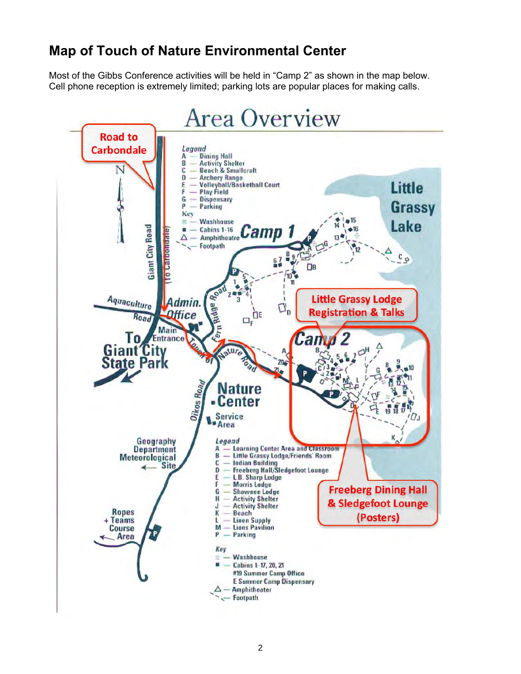# **Map of Touch of Nature Environmental Center**

Most of the Gibbs Conference activities will be held in "Camp 2" as shown in the map below. Cell phone reception is extremely limited; parking lots are popular places for making calls.

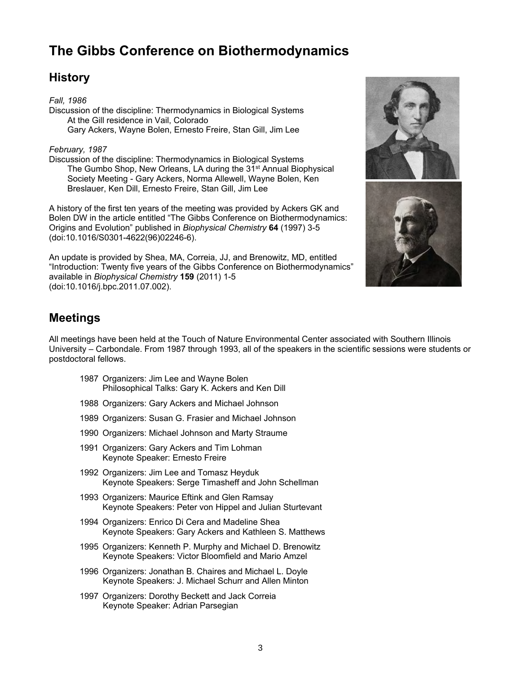# **The Gibbs Conference on Biothermodynamics**

## **History**

*Fall, 1986*  Discussion of the discipline: Thermodynamics in Biological Systems At the Gill residence in Vail, Colorado Gary Ackers, Wayne Bolen, Ernesto Freire, Stan Gill, Jim Lee

#### *February, 1987*

Discussion of the discipline: Thermodynamics in Biological Systems The Gumbo Shop, New Orleans, LA during the 31<sup>st</sup> Annual Biophysical Society Meeting - Gary Ackers, Norma Allewell, Wayne Bolen, Ken Breslauer, Ken Dill, Ernesto Freire, Stan Gill, Jim Lee

A history of the first ten years of the meeting was provided by Ackers GK and Bolen DW in the article entitled "The Gibbs Conference on Biothermodynamics: Origins and Evolution" published in *Biophysical Chemistry* **64** (1997) 3-5 (doi:10.1016/S0301-4622(96)02246-6).

An update is provided by Shea, MA, Correia, JJ, and Brenowitz, MD, entitled "Introduction: Twenty five years of the Gibbs Conference on Biothermodynamics" available in *Biophysical Chemistry* **159** (2011) 1-5 (doi:10.1016/j.bpc.2011.07.002).





## **Meetings**

All meetings have been held at the Touch of Nature Environmental Center associated with Southern Illinois University – Carbondale. From 1987 through 1993, all of the speakers in the scientific sessions were students or postdoctoral fellows.

- 1987 Organizers: Jim Lee and Wayne Bolen Philosophical Talks: Gary K. Ackers and Ken Dill
- 1988 Organizers: Gary Ackers and Michael Johnson
- 1989 Organizers: Susan G. Frasier and Michael Johnson
- 1990 Organizers: Michael Johnson and Marty Straume
- 1991 Organizers: Gary Ackers and Tim Lohman Keynote Speaker: Ernesto Freire
- 1992 Organizers: Jim Lee and Tomasz Heyduk Keynote Speakers: Serge Timasheff and John Schellman
- 1993 Organizers: Maurice Eftink and Glen Ramsay Keynote Speakers: Peter von Hippel and Julian Sturtevant
- 1994 Organizers: Enrico Di Cera and Madeline Shea Keynote Speakers: Gary Ackers and Kathleen S. Matthews
- 1995 Organizers: Kenneth P. Murphy and Michael D. Brenowitz Keynote Speakers: Victor Bloomfield and Mario Amzel
- 1996 Organizers: Jonathan B. Chaires and Michael L. Doyle Keynote Speakers: J. Michael Schurr and Allen Minton
- 1997 Organizers: Dorothy Beckett and Jack Correia Keynote Speaker: Adrian Parsegian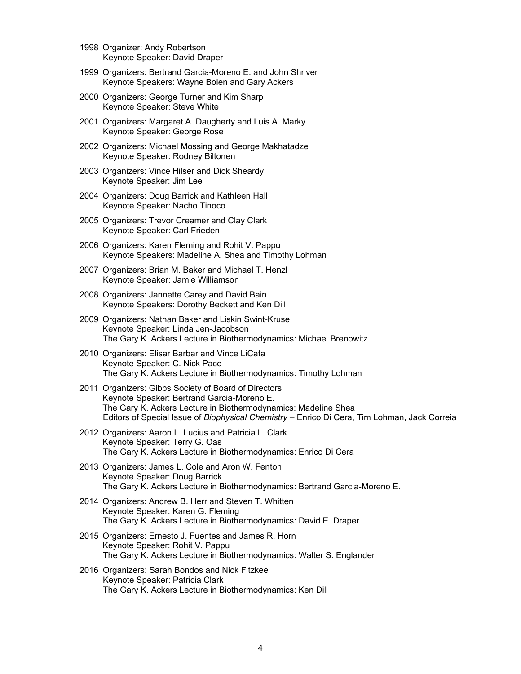- 1998 Organizer: Andy Robertson Keynote Speaker: David Draper
- 1999 Organizers: Bertrand Garcia-Moreno E. and John Shriver Keynote Speakers: Wayne Bolen and Gary Ackers
- 2000 Organizers: George Turner and Kim Sharp Keynote Speaker: Steve White
- 2001 Organizers: Margaret A. Daugherty and Luis A. Marky Keynote Speaker: George Rose
- 2002 Organizers: Michael Mossing and George Makhatadze Keynote Speaker: Rodney Biltonen
- 2003 Organizers: Vince Hilser and Dick Sheardy Keynote Speaker: Jim Lee
- 2004 Organizers: Doug Barrick and Kathleen Hall Keynote Speaker: Nacho Tinoco
- 2005 Organizers: Trevor Creamer and Clay Clark Keynote Speaker: Carl Frieden
- 2006 Organizers: Karen Fleming and Rohit V. Pappu Keynote Speakers: Madeline A. Shea and Timothy Lohman
- 2007 Organizers: Brian M. Baker and Michael T. Henzl Keynote Speaker: Jamie Williamson
- 2008 Organizers: Jannette Carey and David Bain Keynote Speakers: Dorothy Beckett and Ken Dill
- 2009 Organizers: Nathan Baker and Liskin Swint-Kruse Keynote Speaker: Linda Jen-Jacobson The Gary K. Ackers Lecture in Biothermodynamics: Michael Brenowitz
- 2010 Organizers: Elisar Barbar and Vince LiCata Keynote Speaker: C. Nick Pace The Gary K. Ackers Lecture in Biothermodynamics: Timothy Lohman
- 2011 Organizers: Gibbs Society of Board of Directors Keynote Speaker: Bertrand Garcia-Moreno E. The Gary K. Ackers Lecture in Biothermodynamics: Madeline Shea Editors of Special Issue of *Biophysical Chemistry* – Enrico Di Cera, Tim Lohman, Jack Correia
- 2012 Organizers: Aaron L. Lucius and Patricia L. Clark Keynote Speaker: Terry G. Oas The Gary K. Ackers Lecture in Biothermodynamics: Enrico Di Cera
- 2013 Organizers: James L. Cole and Aron W. Fenton Keynote Speaker: Doug Barrick The Gary K. Ackers Lecture in Biothermodynamics: Bertrand Garcia-Moreno E.
- 2014 Organizers: Andrew B. Herr and Steven T. Whitten Keynote Speaker: Karen G. Fleming The Gary K. Ackers Lecture in Biothermodynamics: David E. Draper
- 2015 Organizers: Ernesto J. Fuentes and James R. Horn Keynote Speaker: Rohit V. Pappu The Gary K. Ackers Lecture in Biothermodynamics: Walter S. Englander
- 2016 Organizers: Sarah Bondos and Nick Fitzkee Keynote Speaker: Patricia Clark The Gary K. Ackers Lecture in Biothermodynamics: Ken Dill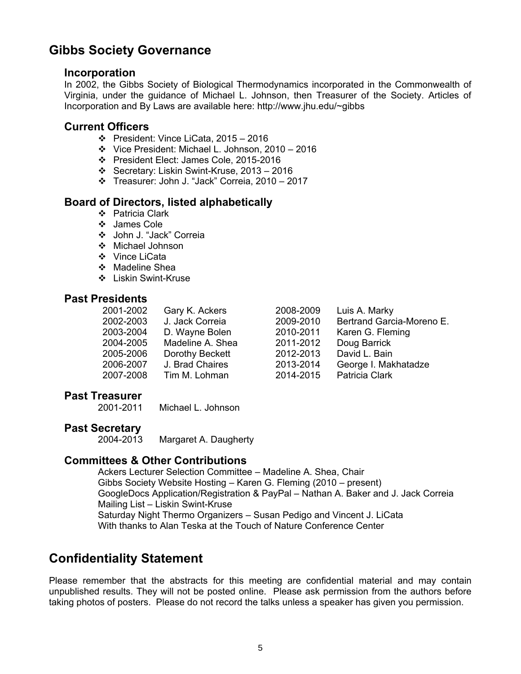## **Gibbs Society Governance**

#### **Incorporation**

In 2002, the Gibbs Society of Biological Thermodynamics incorporated in the Commonwealth of Virginia, under the guidance of Michael L. Johnson, then Treasurer of the Society. Articles of Incorporation and By Laws are available here: http://www.jhu.edu/~gibbs

#### **Current Officers**

- President: Vince LiCata, 2015 2016
- Vice President: Michael L. Johnson, 2010 2016
- President Elect: James Cole, 2015-2016
- Secretary: Liskin Swint-Kruse, 2013 2016
- Treasurer: John J. "Jack" Correia, 2010 2017

#### **Board of Directors, listed alphabetically**

- Patricia Clark
- James Cole
- John J. "Jack" Correia
- Michael Johnson
- ❖ Vince LiCata
- ❖ Madeline Shea
- ❖ Liskin Swint-Kruse

#### **Past Presidents**

| 2001-2002 | Gary K. Ackers   | 2008-2009 | Luis A. Marky             |
|-----------|------------------|-----------|---------------------------|
| 2002-2003 | J. Jack Correia  | 2009-2010 | Bertrand Garcia-Moreno E. |
| 2003-2004 | D. Wayne Bolen   | 2010-2011 | Karen G. Fleming          |
| 2004-2005 | Madeline A. Shea | 2011-2012 | Doug Barrick              |
| 2005-2006 | Dorothy Beckett  | 2012-2013 | David L. Bain             |
| 2006-2007 | J. Brad Chaires  | 2013-2014 | George I. Makhatadze      |
| 2007-2008 | Tim M. Lohman    | 2014-2015 | Patricia Clark            |

# **Past Treasurer**

Michael L. Johnson

# Past Secretary<br>2004-2013

Margaret A. Daugherty

#### **Committees & Other Contributions**

Ackers Lecturer Selection Committee – Madeline A. Shea, Chair Gibbs Society Website Hosting – Karen G. Fleming (2010 – present) GoogleDocs Application/Registration & PayPal – Nathan A. Baker and J. Jack Correia Mailing List – Liskin Swint-Kruse Saturday Night Thermo Organizers – Susan Pedigo and Vincent J. LiCata With thanks to Alan Teska at the Touch of Nature Conference Center

## **Confidentiality Statement**

Please remember that the abstracts for this meeting are confidential material and may contain unpublished results. They will not be posted online. Please ask permission from the authors before taking photos of posters. Please do not record the talks unless a speaker has given you permission.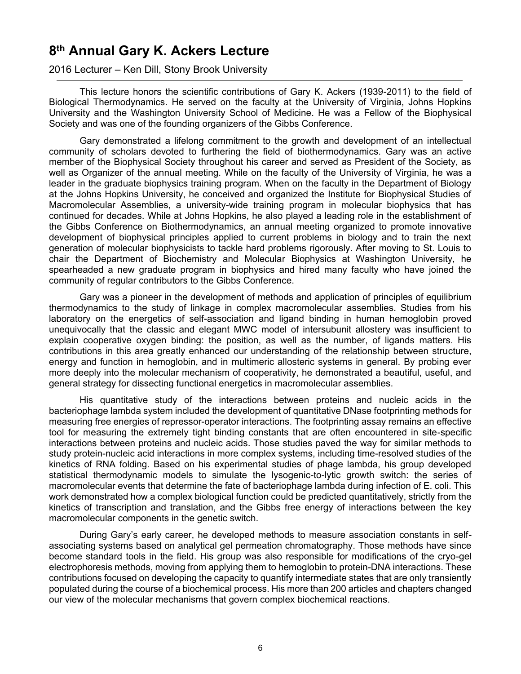# **8 th Annual Gary K. Ackers Lecture**

2016 Lecturer – Ken Dill, Stony Brook University

This lecture honors the scientific contributions of Gary K. Ackers (1939-2011) to the field of Biological Thermodynamics. He served on the faculty at the University of Virginia, Johns Hopkins University and the Washington University School of Medicine. He was a Fellow of the Biophysical Society and was one of the founding organizers of the Gibbs Conference.

Gary demonstrated a lifelong commitment to the growth and development of an intellectual community of scholars devoted to furthering the field of biothermodynamics. Gary was an active member of the Biophysical Society throughout his career and served as President of the Society, as well as Organizer of the annual meeting. While on the faculty of the University of Virginia, he was a leader in the graduate biophysics training program. When on the faculty in the Department of Biology at the Johns Hopkins University, he conceived and organized the Institute for Biophysical Studies of Macromolecular Assemblies, a university-wide training program in molecular biophysics that has continued for decades. While at Johns Hopkins, he also played a leading role in the establishment of the Gibbs Conference on Biothermodynamics, an annual meeting organized to promote innovative development of biophysical principles applied to current problems in biology and to train the next generation of molecular biophysicists to tackle hard problems rigorously. After moving to St. Louis to chair the Department of Biochemistry and Molecular Biophysics at Washington University, he spearheaded a new graduate program in biophysics and hired many faculty who have joined the community of regular contributors to the Gibbs Conference.

Gary was a pioneer in the development of methods and application of principles of equilibrium thermodynamics to the study of linkage in complex macromolecular assemblies. Studies from his laboratory on the energetics of self-association and ligand binding in human hemoglobin proved unequivocally that the classic and elegant MWC model of intersubunit allostery was insufficient to explain cooperative oxygen binding: the position, as well as the number, of ligands matters. His contributions in this area greatly enhanced our understanding of the relationship between structure, energy and function in hemoglobin, and in multimeric allosteric systems in general. By probing ever more deeply into the molecular mechanism of cooperativity, he demonstrated a beautiful, useful, and general strategy for dissecting functional energetics in macromolecular assemblies.

His quantitative study of the interactions between proteins and nucleic acids in the bacteriophage lambda system included the development of quantitative DNase footprinting methods for measuring free energies of repressor-operator interactions. The footprinting assay remains an effective tool for measuring the extremely tight binding constants that are often encountered in site-specific interactions between proteins and nucleic acids. Those studies paved the way for similar methods to study protein-nucleic acid interactions in more complex systems, including time-resolved studies of the kinetics of RNA folding. Based on his experimental studies of phage lambda, his group developed statistical thermodynamic models to simulate the lysogenic-to-lytic growth switch: the series of macromolecular events that determine the fate of bacteriophage lambda during infection of E. coli. This work demonstrated how a complex biological function could be predicted quantitatively, strictly from the kinetics of transcription and translation, and the Gibbs free energy of interactions between the key macromolecular components in the genetic switch.

During Gary's early career, he developed methods to measure association constants in selfassociating systems based on analytical gel permeation chromatography. Those methods have since become standard tools in the field. His group was also responsible for modifications of the cryo-gel electrophoresis methods, moving from applying them to hemoglobin to protein-DNA interactions. These contributions focused on developing the capacity to quantify intermediate states that are only transiently populated during the course of a biochemical process. His more than 200 articles and chapters changed our view of the molecular mechanisms that govern complex biochemical reactions.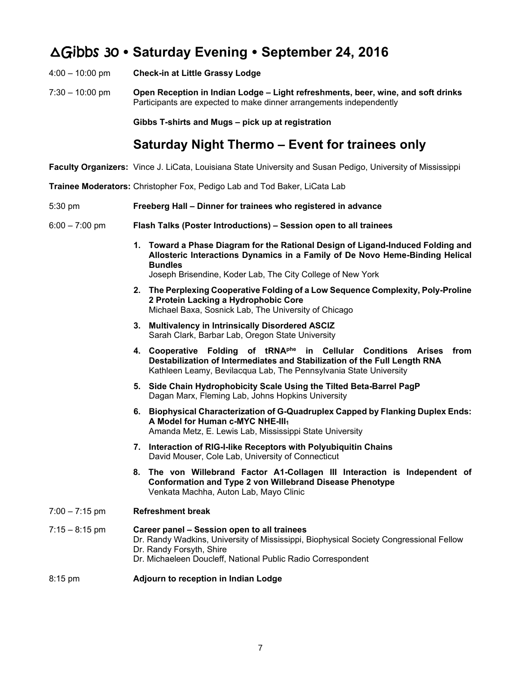# ∆Gibbs 30  **Saturday Evening September 24, 2016**

- 4:00 10:00 pm **Check-in at Little Grassy Lodge**
- 7:30 10:00 pm **Open Reception in Indian Lodge Light refreshments, beer, wine, and soft drinks** Participants are expected to make dinner arrangements independently

**Gibbs T-shirts and Mugs – pick up at registration** 

## **Saturday Night Thermo – Event for trainees only**

- **Faculty Organizers:** Vince J. LiCata, Louisiana State University and Susan Pedigo, University of Mississippi
- **Trainee Moderators:** Christopher Fox, Pedigo Lab and Tod Baker, LiCata Lab
- 5:30 pm **Freeberg Hall Dinner for trainees who registered in advance**
- 6:00 7:00 pm **Flash Talks (Poster Introductions) Session open to all trainees**
	- **1. Toward a Phase Diagram for the Rational Design of Ligand-Induced Folding and Allosteric Interactions Dynamics in a Family of De Novo Heme-Binding Helical Bundles**  Joseph Brisendine, Koder Lab, The City College of New York
	- **2. The Perplexing Cooperative Folding of a Low Sequence Complexity, Poly-Proline 2 Protein Lacking a Hydrophobic Core**  Michael Baxa, Sosnick Lab, The University of Chicago
	- **3. Multivalency in Intrinsically Disordered ASCIZ**  Sarah Clark, Barbar Lab, Oregon State University
	- **4. Cooperative Folding of tRNAphe in Cellular Conditions Arises from Destabilization of Intermediates and Stabilization of the Full Length RNA**  Kathleen Leamy, Bevilacqua Lab, The Pennsylvania State University
	- **5. Side Chain Hydrophobicity Scale Using the Tilted Beta-Barrel PagP**  Dagan Marx, Fleming Lab, Johns Hopkins University
	- **6. Biophysical Characterization of G-Quadruplex Capped by Flanking Duplex Ends: A Model for Human c-MYC NHE-III<sup>1</sup>** Amanda Metz, E. Lewis Lab, Mississippi State University
	- **7. Interaction of RIG-I-like Receptors with Polyubiquitin Chains**  David Mouser, Cole Lab, University of Connecticut
	- **8. The von Willebrand Factor A1-Collagen III Interaction is Independent of Conformation and Type 2 von Willebrand Disease Phenotype**  Venkata Machha, Auton Lab, Mayo Clinic
- 7:00 7:15 pm **Refreshment break**
- 7:15 8:15 pm **Career panel Session open to all trainees**  Dr. Randy Wadkins, University of Mississippi, Biophysical Society Congressional Fellow Dr. Randy Forsyth, Shire Dr. Michaeleen Doucleff, National Public Radio Correspondent

#### 8:15 pm **Adjourn to reception in Indian Lodge**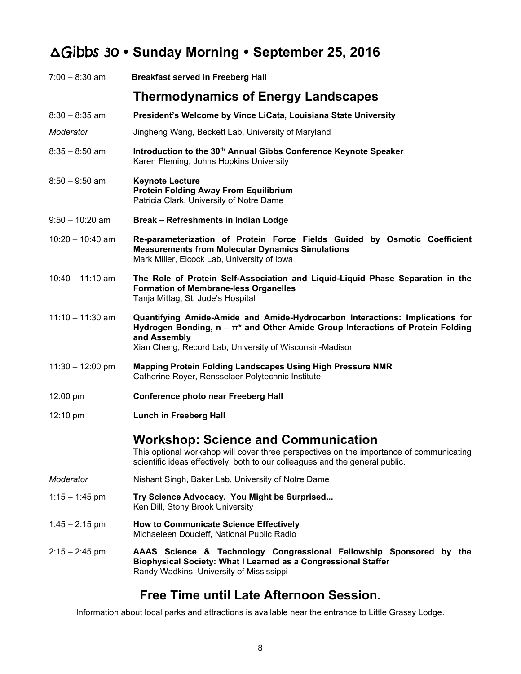# ∆Gibbs 30  **Sunday Morning September 25, 2016**

| $7:00 - 8:30$ am   | <b>Breakfast served in Freeberg Hall</b>                                                                                                                                                                                                       |  |
|--------------------|------------------------------------------------------------------------------------------------------------------------------------------------------------------------------------------------------------------------------------------------|--|
|                    | <b>Thermodynamics of Energy Landscapes</b>                                                                                                                                                                                                     |  |
| $8:30 - 8:35$ am   | President's Welcome by Vince LiCata, Louisiana State University                                                                                                                                                                                |  |
| Moderator          | Jingheng Wang, Beckett Lab, University of Maryland                                                                                                                                                                                             |  |
| $8:35 - 8:50$ am   | Introduction to the 30th Annual Gibbs Conference Keynote Speaker<br>Karen Fleming, Johns Hopkins University                                                                                                                                    |  |
| $8:50 - 9:50$ am   | <b>Keynote Lecture</b><br><b>Protein Folding Away From Equilibrium</b><br>Patricia Clark, University of Notre Dame                                                                                                                             |  |
| $9:50 - 10:20$ am  | Break - Refreshments in Indian Lodge                                                                                                                                                                                                           |  |
| $10:20 - 10:40$ am | Re-parameterization of Protein Force Fields Guided by Osmotic Coefficient<br><b>Measurements from Molecular Dynamics Simulations</b><br>Mark Miller, Elcock Lab, University of Iowa                                                            |  |
| $10:40 - 11:10$ am | The Role of Protein Self-Association and Liquid-Liquid Phase Separation in the<br><b>Formation of Membrane-less Organelles</b><br>Tanja Mittag, St. Jude's Hospital                                                                            |  |
| $11:10 - 11:30$ am | Quantifying Amide-Amide and Amide-Hydrocarbon Interactions: Implications for<br>Hydrogen Bonding, $n - \pi^*$ and Other Amide Group Interactions of Protein Folding<br>and Assembly<br>Xian Cheng, Record Lab, University of Wisconsin-Madison |  |
| $11:30 - 12:00$ pm | <b>Mapping Protein Folding Landscapes Using High Pressure NMR</b><br>Catherine Royer, Rensselaer Polytechnic Institute                                                                                                                         |  |
| $12:00 \text{ pm}$ | <b>Conference photo near Freeberg Hall</b>                                                                                                                                                                                                     |  |
| $12:10 \text{ pm}$ | <b>Lunch in Freeberg Hall</b>                                                                                                                                                                                                                  |  |
|                    | <b>Workshop: Science and Communication</b><br>This optional workshop will cover three perspectives on the importance of communicating<br>scientific ideas effectively, both to our colleagues and the general public.                          |  |
| Moderator          | Nishant Singh, Baker Lab, University of Notre Dame                                                                                                                                                                                             |  |
| $1:15 - 1:45$ pm   | Try Science Advocacy. You Might be Surprised<br>Ken Dill, Stony Brook University                                                                                                                                                               |  |
| $1:45 - 2:15$ pm   | <b>How to Communicate Science Effectively</b><br>Michaeleen Doucleff, National Public Radio                                                                                                                                                    |  |
| $2:15 - 2:45$ pm   | AAAS Science & Technology Congressional Fellowship Sponsored by the<br>Biophysical Society: What I Learned as a Congressional Staffer<br>Randy Wadkins, University of Mississippi                                                              |  |

# **Free Time until Late Afternoon Session.**

Information about local parks and attractions is available near the entrance to Little Grassy Lodge.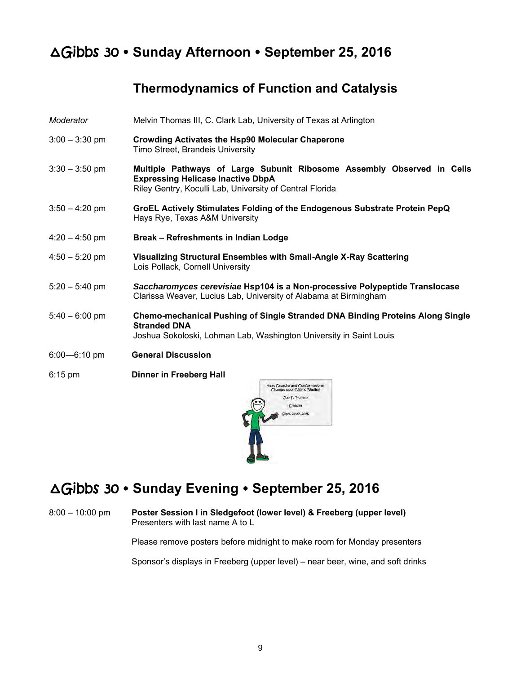# ∆Gibbs 30  **Sunday Afternoon September 25, 2016**

## **Thermodynamics of Function and Catalysis**

- *Moderator* Melvin Thomas III, C. Clark Lab, University of Texas at Arlington
- 3:00 3:30 pm **Crowding Activates the Hsp90 Molecular Chaperone** Timo Street, Brandeis University
- 3:30 3:50 pm **Multiple Pathways of Large Subunit Ribosome Assembly Observed in Cells Expressing Helicase Inactive DbpA** Riley Gentry, Koculli Lab, University of Central Florida
- 3:50 4:20 pm **GroEL Actively Stimulates Folding of the Endogenous Substrate Protein PepQ** Hays Rye, Texas A&M University
- 4:20 4:50 pm **Break Refreshments in Indian Lodge**
- 4:50 5:20 pm **Visualizing Structural Ensembles with Small-Angle X-Ray Scattering** Lois Pollack, Cornell University
- 5:20 5:40 pm *Saccharomyces cerevisiae* **Hsp104 is a Non-processive Polypeptide Translocase** Clarissa Weaver, Lucius Lab, University of Alabama at Birmingham
- 5:40 6:00 pm **Chemo-mechanical Pushing of Single Stranded DNA Binding Proteins Along Single Stranded DNA** Joshua Sokoloski, Lohman Lab, Washington University in Saint Louis
- 6:00—6:10 pm **General Discussion**
- 6:15 pm **Dinner in Freeberg Hall**



# ∆Gibbs 30  **Sunday Evening September 25, 2016**

8:00 – 10:00 pm **Poster Session I in Sledgefoot (lower level) & Freeberg (upper level)** Presenters with last name A to L

Please remove posters before midnight to make room for Monday presenters

Sponsor's displays in Freeberg (upper level) – near beer, wine, and soft drinks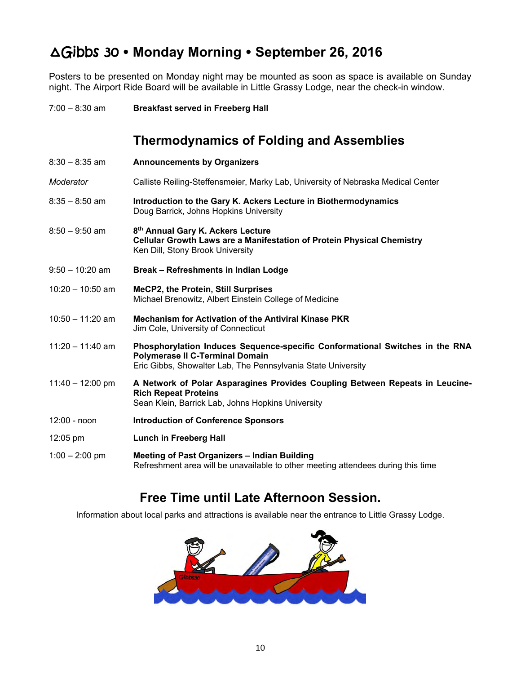# ∆Gibbs 30  **Monday Morning September 26, 2016**

Posters to be presented on Monday night may be mounted as soon as space is available on Sunday night. The Airport Ride Board will be available in Little Grassy Lodge, near the check-in window.

7:00 – 8:30 am **Breakfast served in Freeberg Hall**

## **Thermodynamics of Folding and Assemblies**

| 8:30 – 8:35 am     | <b>Announcements by Organizers</b>                                                                                                                                                     |
|--------------------|----------------------------------------------------------------------------------------------------------------------------------------------------------------------------------------|
| Moderator          | Calliste Reiling-Steffensmeier, Marky Lab, University of Nebraska Medical Center                                                                                                       |
| 8:35 – 8:50 am     | Introduction to the Gary K. Ackers Lecture in Biothermodynamics<br>Doug Barrick, Johns Hopkins University                                                                              |
| 8:50 – 9:50 am     | 8th Annual Gary K. Ackers Lecture<br>Cellular Growth Laws are a Manifestation of Protein Physical Chemistry<br>Ken Dill, Stony Brook University                                        |
| 9:50 – 10:20 am    | Break - Refreshments in Indian Lodge                                                                                                                                                   |
| 10:20 - 10:50 am   | <b>MeCP2, the Protein, Still Surprises</b><br>Michael Brenowitz, Albert Einstein College of Medicine                                                                                   |
| 10:50 - 11:20 am   | Mechanism for Activation of the Antiviral Kinase PKR<br>Jim Cole, University of Connecticut                                                                                            |
| 11:20 - 11:40 am   | Phosphorylation Induces Sequence-specific Conformational Switches in the RNA<br><b>Polymerase II C-Terminal Domain</b><br>Eric Gibbs, Showalter Lab, The Pennsylvania State University |
| $11:40 - 12:00$ pm | A Network of Polar Asparagines Provides Coupling Between Repeats in Leucine-<br><b>Rich Repeat Proteins</b><br>Sean Klein, Barrick Lab, Johns Hopkins University                       |
| 12:00 - noon       | <b>Introduction of Conference Sponsors</b>                                                                                                                                             |
| 12:05 pm           | <b>Lunch in Freeberg Hall</b>                                                                                                                                                          |
| $1:00 - 2:00$ pm   | Meeting of Past Organizers - Indian Building<br>Refreshment area will be unavailable to other meeting attendees during this time                                                       |

## **Free Time until Late Afternoon Session.**

Information about local parks and attractions is available near the entrance to Little Grassy Lodge.

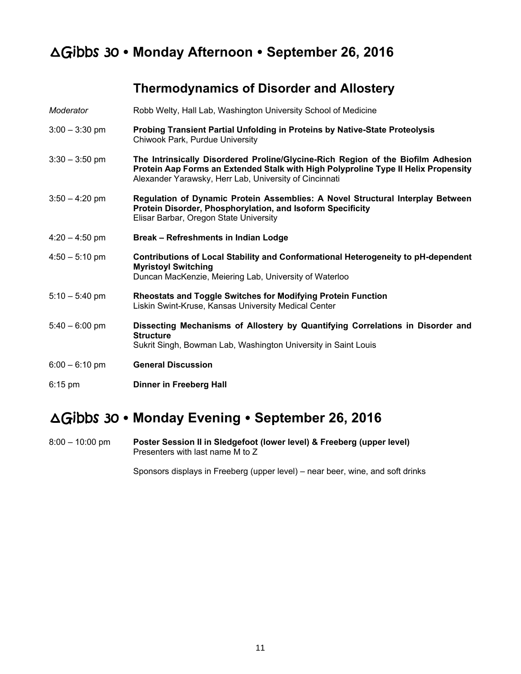# ∆Gibbs 30  **Monday Afternoon September 26, 2016**

## **Thermodynamics of Disorder and Allostery**

| Moderator        | Robb Welty, Hall Lab, Washington University School of Medicine                                                                                                                                                                   |
|------------------|----------------------------------------------------------------------------------------------------------------------------------------------------------------------------------------------------------------------------------|
| $3:00 - 3:30$ pm | Probing Transient Partial Unfolding in Proteins by Native-State Proteolysis<br>Chiwook Park, Purdue University                                                                                                                   |
| $3:30 - 3:50$ pm | The Intrinsically Disordered Proline/Glycine-Rich Region of the Biofilm Adhesion<br>Protein Aap Forms an Extended Stalk with High Polyproline Type II Helix Propensity<br>Alexander Yarawsky, Herr Lab, University of Cincinnati |
| $3:50 - 4:20$ pm | Regulation of Dynamic Protein Assemblies: A Novel Structural Interplay Between<br>Protein Disorder, Phosphorylation, and Isoform Specificity<br>Elisar Barbar, Oregon State University                                           |
| $4:20 - 4:50$ pm | Break - Refreshments in Indian Lodge                                                                                                                                                                                             |
| $4:50 - 5:10$ pm | <b>Contributions of Local Stability and Conformational Heterogeneity to pH-dependent</b><br><b>Myristoyl Switching</b><br>Duncan MacKenzie, Meiering Lab, University of Waterloo                                                 |
| $5:10 - 5:40$ pm | <b>Rheostats and Toggle Switches for Modifying Protein Function</b><br>Liskin Swint-Kruse, Kansas University Medical Center                                                                                                      |
| $5:40 - 6:00$ pm | Dissecting Mechanisms of Allostery by Quantifying Correlations in Disorder and<br><b>Structure</b><br>Sukrit Singh, Bowman Lab, Washington University in Saint Louis                                                             |
| $6:00 - 6:10$ pm | <b>General Discussion</b>                                                                                                                                                                                                        |
| $6:15$ pm        | Dinner in Freeberg Hall                                                                                                                                                                                                          |

# ∆Gibbs 30  **Monday Evening September 26, 2016**

8:00 – 10:00 pm **Poster Session II in Sledgefoot (lower level) & Freeberg (upper level)** Presenters with last name M to Z

Sponsors displays in Freeberg (upper level) – near beer, wine, and soft drinks